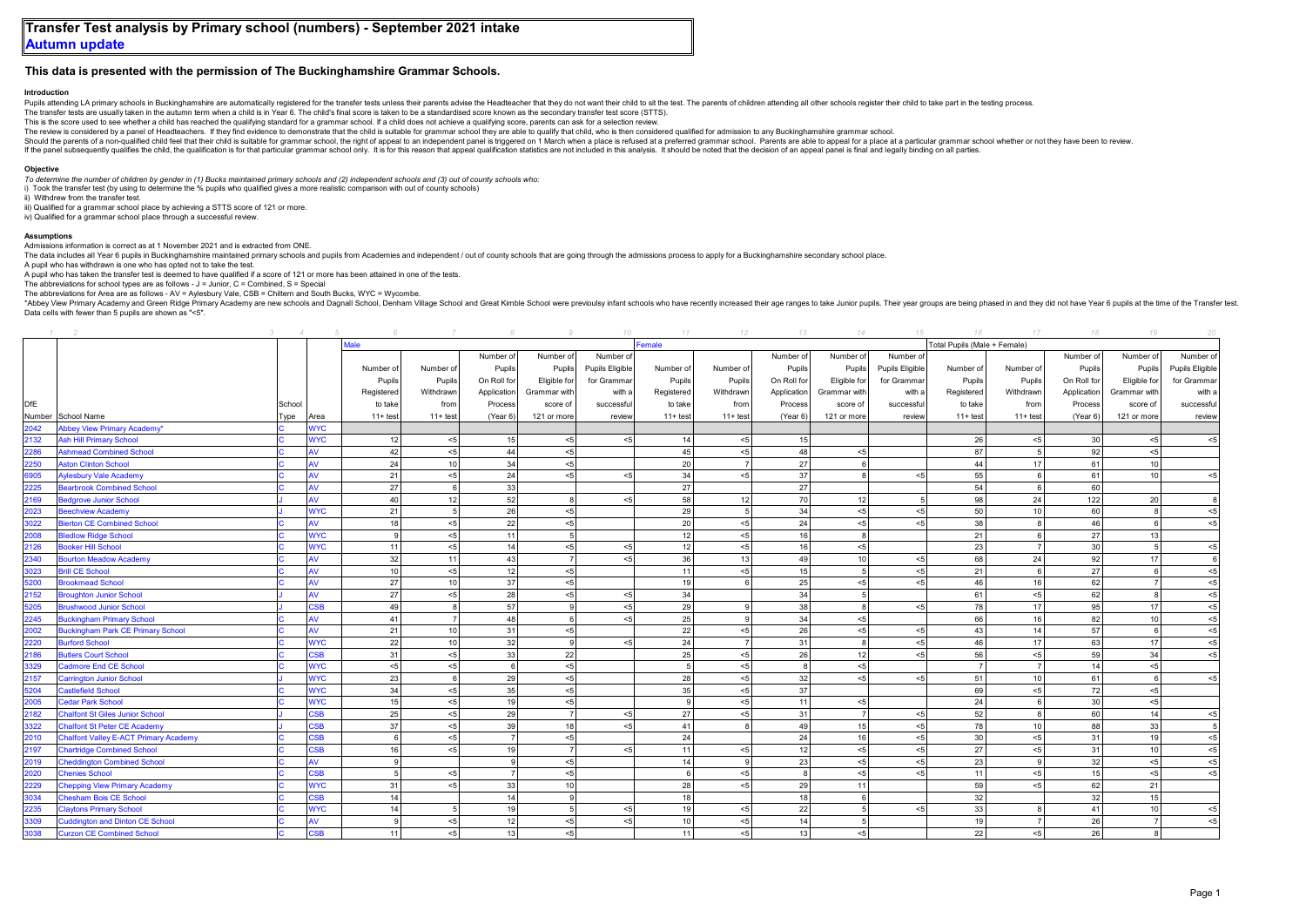## **This data is presented with the permission of The Buckinghamshire Grammar Schools.**

## **Introduction**

Pupils attending LA primary schools in Buckinghamshire are automatically registered for the transfer tests unless their parents advise the Headteacher that they do not want their child to sit the test. The parents of child

The transfer tests are usually taken in the autumn term when a child is in Year 6. The child's final score is taken to be a standardised score known as the secondary transfer test score (STTS). This is the score used to see whether a child has reached the qualifying standard for a grammar school. If a child does not achieve a qualifying score, parents can ask for a selection review.

The review is considered by a panel of Headteachers. If they find evidence to demonstrate that the child is suitable for grammar school they are able to qualify that child, who is then considered qualified for admission to

Should the parents of a non-qualified child feel that their child is suitable for grammar school, the right of appeal to an independent panel is triggered on 1 March when a place is refused at a preferred grammar school. P

If the panel subsequently qualifies the child, the qualification is for that particular grammar school only. It is for this reason that appeal qualification statistics are not included in this analysis. It should be noted

## **Objective**

*To determine the number of children by gender in (1) Bucks maintained primary schools and (2) independent schools and (3) out of county schools who:* i) Took the transfer test (by using to determine the % pupils who qualified gives a more realistic comparison with out of county schools)

ii) Withdrew from the transfer test.

iii) Qualified for a grammar school place by achieving a STTS score of 121 or more

iv) Qualified for a grammar school place through a successful review.

## **Assumptions**

Admissions information is correct as at 1 November 2021 and is extracted from ONE.

The data includes all Year 6 pupils in Buckinghamshire maintained primary schools and pupils from Academies and independent / out of county schools that are going through the admissions process to apply for a Buckinghamshi

A pupil who has withdrawn is one who has opted not to take the test.

A pupil who has taken the transfer test is deemed to have qualified if a score of 121 or more has been attained in one of the tests.

The abbreviations for school types are as follows -  $J = J$ unior,  $C = Combined$ ,  $S = S$ pecial

The abbreviations for Area are as follows - AV = Aylesbury Vale, CSB = Chiltern and South Bucks, WYC = Wycombe.

"Abbey View Primary Academy and Green Ridge Primary Academy are new schools and Dagnall School, Denham Village School and Great Kimble School were previoulsy infant schools who have recently increased their age ranges to t Data cells with fewer than 5 pupils are shown as "<5".

|            |                                              |        |            |                 |                 |                |                  | $10^{-5}$       | 11           | 12             | 13           | 14              | $15 -$          | 16                           | $17^{1}$           | 18          | 19             |                 |
|------------|----------------------------------------------|--------|------------|-----------------|-----------------|----------------|------------------|-----------------|--------------|----------------|--------------|-----------------|-----------------|------------------------------|--------------------|-------------|----------------|-----------------|
|            |                                              |        |            | lale            |                 |                |                  |                 | Female       |                |              |                 |                 | Total Pupils (Male + Female) |                    |             |                |                 |
|            |                                              |        |            |                 |                 | Number of      | Number of        | Number of       |              |                | Number of    | Number of       | Number of       |                              |                    | Number of   | Number of      | Number of       |
|            |                                              |        |            | Number of       | Number of       | Pupils         | Pupils           | Pupils Eligible | Number of    | Number of      | Pupils       | Pupils          | Pupils Eligible | Number of                    | Number of          | Pupils      | Pupils         | Pupils Eligible |
|            |                                              |        |            | Pupils          | Pupils          | On Roll for    | Eligible for     | for Grammar     | Pupils       | Pupils         | On Roll for  | Eligible for    | for Grammar     | Pupils                       | Pupils             | On Roll for | Eligible for   | for Grammar     |
|            |                                              |        |            | Registered      | Withdrawn       | Application    | Grammar with     | with a          | Registered   | Withdrawn      | Application  | Grammar with    | with a          | Registered                   | Withdrawn          | Application | Grammar with   | with a          |
| <b>DfE</b> |                                              | School |            | to take         | from            | Process        | score of         | successful      | to take      | from           | Process      | score of        | successful      | to take                      | from               | Process     | score of       | successful      |
|            | Number School Name                           | Type   | Area       | $11+$ test      | $11 + test$     | (Year 6)       | 121 or more      | review          | $11 + test$  | $11 + test$    | (Year 6)     | 121 or more     | review          | $11 + \text{test}$           | $11 + \text{test}$ | (Year 6)    | 121 or more    | review          |
| 2042       | <b>Abbey View Primary Academy</b> *          |        | <b>WYC</b> |                 |                 |                |                  |                 |              |                |              |                 |                 |                              |                    |             |                |                 |
| 2132       | <b>Ash Hill Primary School</b>               |        | <b>WYC</b> | 12              | < 5             | 15             | < 5              | < 5             | 14           | < 5            | 15           |                 |                 | 26                           | < 5                | 30          | < 5            | < 5             |
| 2286       | <b>Ashmead Combined School</b>               |        | AV         | 42              | < 5             | 44             | $<\!\!5$         |                 | 45           | $< 5$          | 48           | < 5             |                 | 87                           |                    | 92          | $< 5$          |                 |
| 2250       | <b>Aston Clinton School</b>                  |        | ۹V         | 24              | 10              | 34             | $5 -$            |                 | 20           |                | 27           | ĥ               |                 | 44                           | 17                 | 61          | 10             |                 |
| 6905       | <b>Aylesbury Vale Academy</b>                |        | AV         | 21              | < 5             | 24             | < 5              | < 5             | 34           | < 5            | 37           | 8               | < 5             | 55                           |                    | 61          | 10             | < 5             |
| 2225       | <b>Bearbrook Combined School</b>             |        | AV         | 27              |                 | 33             |                  |                 | 27           |                | 27           |                 |                 | 54                           |                    | 60          |                |                 |
| 2169       | <b>Bedgrove Junior School</b>                |        | AV         | 40 <sup>1</sup> | 12              | 52             | 8                | $5$             | 58           | 12             | 70           | 12              |                 | 98                           | 24                 | 122         | 20             | 8               |
| 2023       | Beechview Academy                            |        | <b>WYC</b> | 21              |                 | 26             | < 5              |                 | 29           | $\overline{5}$ | 34           | < 5             | < 5             | 50                           | 10                 | 60          | 8              | < 5             |
| 3022       | <b>Bierton CE Combined School</b>            |        | AV         | 18              | < 5             | 22             | $5$              |                 | 20           | < 5            | 24           | $< 5$           | < 5             | 38                           |                    | 46          | 6              | < 5             |
| 2008       | <b>Bledlow Ridge School</b>                  |        | <b>WYC</b> | 9               | < 5             | 11             | 5                |                 | 12           | < 5            | 16           | 8               |                 | 21                           |                    | 27          | 13             |                 |
| 2126       | <b>Booker Hill School</b>                    |        | <b>WYC</b> | 11              | < 5             | 14             | $< 5$            | $5$             | 12           | < 5            | 16           | < 5             |                 | 23                           |                    | 30          | $\overline{5}$ | $<\!\!5$        |
| 2340       | <b>Bourton Meadow Academy</b>                |        | AV         | 32              | 11              | 43             | $\overline{7}$   | < 5             | 36           | 13             | 49           | 10              | < 5             | 68                           | 24                 | 92          | 17             | 6 <sup>1</sup>  |
| 3023       | <b>Brill CE School</b>                       |        | AV         | 10              | < 5             | 12             | < 5              |                 | 11           | < 5            | 15           | 5               | < 5             | 21                           |                    | 27          | 6              | < 5             |
| 5200       | <b>Brookmead School</b>                      |        | AV         | 27              | 10              | 37             | $< 5$            |                 | 19           |                | 25           | < 5             | < 5             | 46                           | 16                 | 62          |                | < 5             |
| 2152       | <b>Broughton Junior School</b>               |        | AV         | 27              | < 5             | 28             | $5 -$            | $5$             | 34           |                | 34           | $5\overline{5}$ |                 | 61                           | < 5                | 62          | -8             | < 5             |
| 5205       | <b>Brushwood Junior School</b>               |        | <b>CSB</b> | 49              |                 | 57             | 9                | $5$             | 29           |                | 38           | $\mathbf{a}$    | < 5             | 78                           | 17                 | 95          | 17             | < 5             |
| 2245       | <b>Buckingham Primary School</b>             |        | AV         | 41              | $\overline{7}$  | 48             | 6                | < 5             | 25           |                | 34           | < 5             |                 | 66                           | 16                 | 82          | 10             | $<\!\!5$        |
| 2002       | <b>Buckingham Park CE Primary School</b>     |        | ۹V         | 21              | 10              | 31             | $5$              |                 | 22           | < 5            | 26           | < 5             | < 5             | 43                           | 14                 | 57          |                | < 5             |
| 2220       | <b>Burford School</b>                        |        | <b>WYC</b> | 22              | 10 <sup>1</sup> | 32             | 9                | < 5             | 24           |                | 31           | 8               | < 5             | 46                           | 17                 | 63          | 17             | < 5             |
| 2186       | <b>Butlers Court School</b>                  |        | <b>CSB</b> | 31              | < 5             | 33             | 22               |                 | 25           | 5<             | 26           | 12              | $\leq$ 5        | 56                           | < 5                | 59          | 34             | < 5             |
| 3329       | Cadmore End CE School                        |        | <b>WYC</b> | < 5             | < 5             | 6              | < 5              |                 |              | < 5            | - F          | < 5             |                 |                              |                    | 14          | $5$            |                 |
| 2157       | <b>Carrington Junior School</b>              |        | <b>WYC</b> | 23              |                 | 29             | < 5              |                 | 28           | < 5            | 32           | < 5             | < 5             | 51                           | 10                 | 61          | 6              | $5$             |
| 5204       | Castlefield School                           |        | <b>WYC</b> | 34              | < 5             | 35             | $5$              |                 | 35           | < 5            | 37           |                 |                 | 69                           | < 5                | 72          | $5$            |                 |
| 2005       | <b>Cedar Park School</b>                     |        | <b>WYC</b> | 15              | < 5             | 19             | $5 -$            |                 | $\mathbf{Q}$ | < 5            | 11           | < 5             |                 | 24                           |                    | 30          | $5$            |                 |
| 2182       | <b>Chalfont St Giles Junior School</b>       |        | <b>CSB</b> | 25              | < 5             | 29             | $\overline{7}$   | < 5             | 27           | < 5            | 31           | $\overline{7}$  | < 5             | 52                           |                    | 60          | 14             | < 5             |
| 3322       | <b>Chalfont St Peter CE Academy</b>          |        | <b>CSB</b> | 37              | < 5             | 39             | 18               | $5$             | 41           |                | 49           | 15              | < 5             | 78                           | 10                 | 88          | 33             | 5 <sup>1</sup>  |
| 2010       | <b>Chalfont Valley E-ACT Primary Academy</b> |        | <b>CSB</b> | 6               | $5$             | $\overline{7}$ | $5 -$            |                 | 24           |                | 24           | 16              | < 5             | 30                           | < 5                | 31          | 19             | < 5             |
| 2197       | <b>Chartridge Combined School</b>            |        | <b>CSB</b> | 16              | < 5             | 19             | $\overline{7}$   | < 5             | 11           | < 5            | 12           | < 5             | < 5             | 27                           | < 5                | 31          | 10             | < 5             |
| 2019       | <b>Cheddinaton Combined School</b>           |        | ۹V         | 9               |                 | 9              | < 5              |                 | 14           | $\mathsf{Q}$   | 23           | < 5             | $5$             | 23                           |                    | 32          | < 5            | < 5             |
| 2020       | <b>Chenies School</b>                        |        | <b>CSB</b> | 5 <sup>1</sup>  | < 5             | 7 <sup>1</sup> | $5 -$            |                 | 6            | < 5            | $\mathbf{a}$ | < 5             | < 5             | 11                           | $5$                | 15          | $< 5$          | < 5             |
| 2229       | <b>Chepping View Primary Academy</b>         |        | <b>WYC</b> | 31              | < 5             | 33             | 10               |                 | 28           | < 5            | 29           | 11              |                 | 59                           | < 5                | 62          | 21             |                 |
| 3034       | <b>Chesham Bois CE School</b>                |        | <b>CSB</b> | 14              |                 | 14             | $\boldsymbol{9}$ |                 | 18           |                | 18           | 6               |                 | 32                           |                    | 32          | 15             |                 |
| 2235       | <b>Claytons Primary School</b>               |        | <b>WYC</b> | 14              |                 | 19             | $\overline{5}$   | $5$             | 19           | < 5            | 22           | $\overline{5}$  | < 5             | 33                           |                    | 41          | 10             | $5$             |
| 3309       | <b>Cuddington and Dinton CE School</b>       |        | AV         | 9               | < 5             | 12             | $5$              | $5$             | 10           | $< 5$          | 14           | $\overline{5}$  |                 | 19                           |                    | 26          |                | < 5             |
| 3038       | <b>Curzon CE Combined School</b>             |        | <b>CSB</b> | 11              | < 5             | 13             | < 5              |                 | 11           | < 5            | 13           | < 5             |                 | 22                           | < 5                | 26          |                |                 |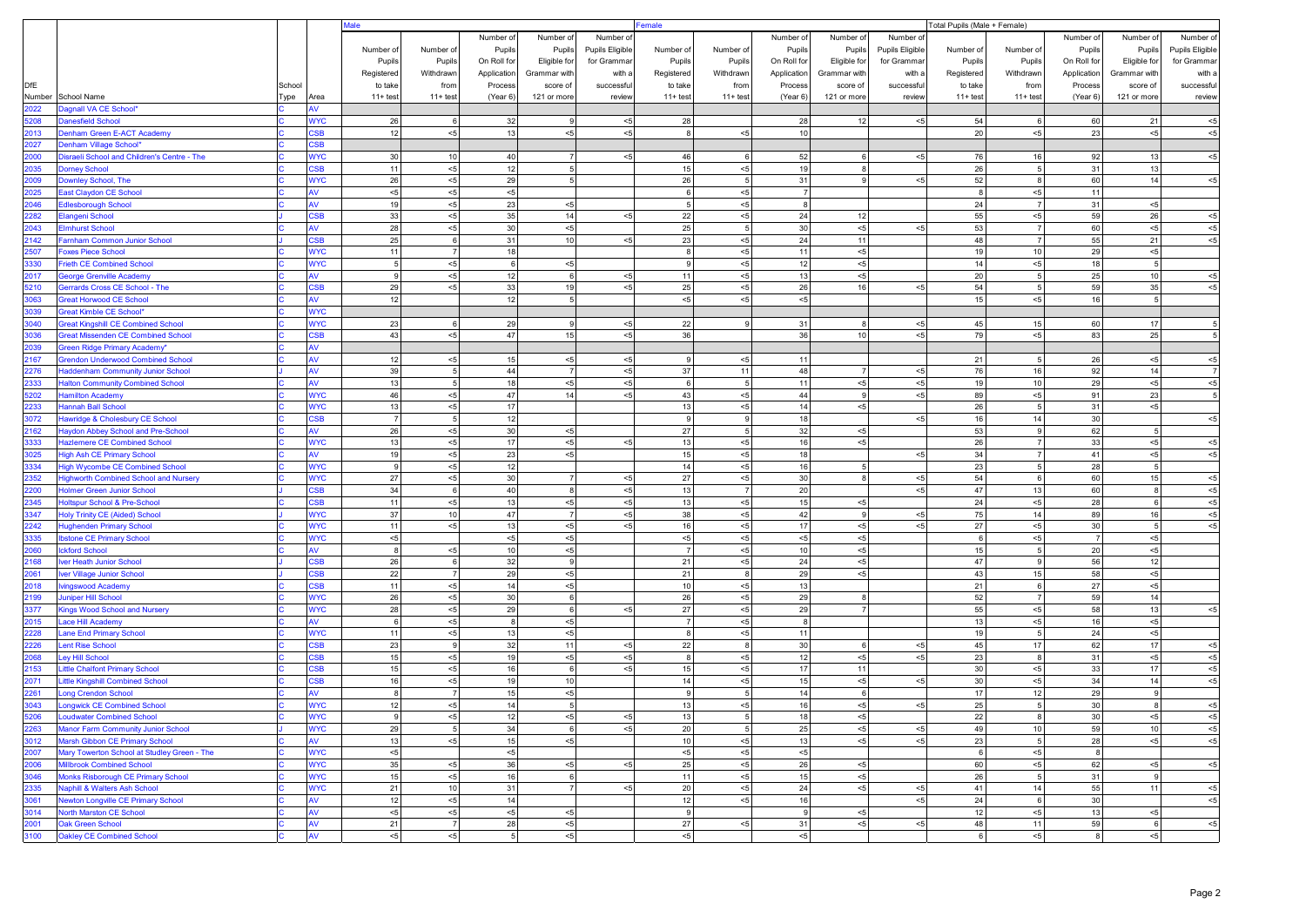|               |                                                                             |                |                          | lale                   |                     |                     |                         |                     | emale                   |                      |                      |                         | Total Pupils (Male + Female) |                       |                            |                      |                         |                      |
|---------------|-----------------------------------------------------------------------------|----------------|--------------------------|------------------------|---------------------|---------------------|-------------------------|---------------------|-------------------------|----------------------|----------------------|-------------------------|------------------------------|-----------------------|----------------------------|----------------------|-------------------------|----------------------|
|               |                                                                             |                |                          |                        |                     | Number of           | Number of               | Number of           |                         |                      | Number of            | Number of               | Number o                     |                       |                            | Number of            | Number of               | Number of            |
|               |                                                                             |                |                          | Number of              | Number of           | Pupils              | Pupils                  | Pupils Eligible     | Number of               | Number of            | Pupils               | Pupils                  | Pupils Eligible              | Number of             | Number of                  | Pupils               | Pupils                  | Pupils Eligible      |
|               |                                                                             |                |                          | Pupils                 | Pupils              | On Roll for         | Eligible for            | for Grammar         | Pupils                  | Pupils               | On Roll for          | Eligible for            | for Gramma                   | Pupils                | Pupils                     | On Roll for          | Eligible for            | for Grammar          |
|               |                                                                             |                |                          | Registered             | Withdrawn           | Application         | Grammar with            | with :              | Registered              | Withdrawn            | Application          | Grammar with            | with a                       | Registered            | Withdrawn                  | Application          | Grammar with            | with a               |
| DfE<br>Number | School Name                                                                 | School<br>Type | Area                     | to take<br>$11 + test$ | from<br>$11 + test$ | Process<br>(Year 6) | score of<br>121 or more | successfu<br>review | to take<br>$11 + test$  | from<br>$11 + test$  | Process<br>(Year 6)  | score of<br>121 or more | successful<br>review         | to take<br>$11+ test$ | from<br>$11 + test$        | Process<br>(Year 6)  | score of<br>121 or more | successful<br>review |
| 2022          | Dagnall VA CE School*                                                       |                |                          |                        |                     |                     |                         |                     |                         |                      |                      |                         |                              |                       |                            |                      |                         |                      |
| 5208          | <b>Danesfield School</b>                                                    |                | <b>WYC</b>               | 26                     | 6                   | 32                  | 9                       | $< 5$               | 28                      |                      | 28                   | 12                      | $< 5$                        | 54                    | 6                          | 60                   | 21                      | $< 5$                |
| 2013          | Denham Green E-ACT Academy                                                  |                | <b>SB</b>                | 12                     | $5$                 | 13                  | < 5                     | $5$                 | 8                       | $< 5$                | 10                   |                         |                              | 20                    | $< 5$                      | 23                   | $< 5$                   | $< 5$                |
| 2027          | Denham Village School*                                                      |                | <b>SB</b>                |                        |                     |                     |                         |                     |                         |                      |                      |                         |                              |                       |                            |                      |                         |                      |
| 2000          | Disraeli School and Children's Centre - The                                 |                | <b>NYC</b>               | 30                     | 10                  | 40                  | 7                       | $5$                 | 46                      | -6                   | 52                   | 6                       | $< 5$                        | 76                    | 16                         | 92                   | 13                      | ${<}5\,$             |
| 2035          | <b>Dorney School</b>                                                        |                | :SB                      | 11                     | < 5                 | 12                  | 5 <sub>5</sub>          |                     | 15                      | $< 5$                | 19                   | 8                       |                              | 26                    | $\overline{5}$             | 31                   | 13                      |                      |
| 2009          | Downley School, The                                                         |                | <b>NYC</b>               | 26                     | < 5                 | 29                  | 5 <sup>1</sup>          |                     | 26                      |                      | 31                   | $\overline{9}$          | $5$                          | 52                    | 8                          | 60                   | 14                      | $< 5$                |
| 2025          | East Claydon CE School                                                      |                | w                        | $< 5$                  | ${<}5\,$<br>< 5     | $< 5$               |                         |                     | 6<br>5                  | $< 5$                | $7 \frac{1}{2}$<br>8 |                         |                              | 8                     | $< 5$                      | 11                   |                         |                      |
| 2046<br>2282  | Edlesborough School<br>Elangeni School                                      |                | ۹V<br>S <sub>B</sub>     | 19<br>33               | < 5                 | 23<br>35            | $< 5$<br>14             | $5$                 | 22                      | $<\!\!5$<br>$< 5\,$  | 24                   | 12                      |                              | 24<br>55              | $7 \overline{ }$<br>$< 5$  | 31<br>59             | < 5<br>26               | < 5                  |
| 2043          | <b>Elmhurst School</b>                                                      |                | w                        | 28                     | < 5                 | 30                  | < 5                     |                     | 25                      | $\overline{5}$       | 30                   | ${<}5$                  | $\leq$ 5                     | 53                    | $\overline{7}$             | 60                   | $< 5$                   | $< 5$                |
| 2142          | Farnham Common Junior School                                                |                | <b>SB</b>                | 25                     | 6                   | 31                  | 10 <sup>1</sup>         | $5$                 | 23                      | $< 5\,$              | 24                   | 11                      |                              | 48                    | $\overline{7}$             | 55                   | 21                      | $< 5$                |
| 2507          | <b>Foxes Piece School</b>                                                   |                | <b>WYC</b>               | 11                     | 7 <sup>1</sup>      | 18                  |                         |                     | 8                       | $< 5\,$              | 11                   | < 5                     |                              | 19                    | 10                         | 29                   | ${<}5\,$                |                      |
| 3330          | <b>Frieth CE Combined School</b>                                            |                | <b>NYC</b>               | 5                      | < 5                 | 6                   | < 5                     |                     | -9                      | $< 5\,$              | 12                   | $< 5\,$                 |                              | 14                    | $< 5$                      | 18                   | 5                       |                      |
| 2017          | George Grenville Academy                                                    |                | ۹V                       | $\mathbf{Q}$           | ${<}5\,$            | 12                  | 6                       | $5$                 | 11                      | $<\!\!5$             | 13                   | $<\!\!5$                |                              | 20                    | $\overline{5}$             | 25                   | 10                      | $< 5\,$              |
| 5210          | Gerrards Cross CE School - The                                              |                | SB                       | 29                     | $< 5$               | 33                  | 19                      | $\leq$ 5            | 25                      | $<\!\!5$             | 26                   | 16                      | $< 5$                        | 54                    | $5\overline{5}$            | 59                   | 35                      | $< 5$                |
| 3063          | <b>Great Horwood CE School</b>                                              |                | ۹V                       | 12                     |                     | 12                  | 5 <sub>1</sub>          |                     | $< 5$                   | $< 5$                | < 5                  |                         |                              | 15                    | < 5                        | 16                   | 5                       |                      |
| 3039<br>3040  | <b>Great Kimble CE School*</b><br><b>Great Kingshill CE Combined School</b> |                | <b>WYC</b><br><b>NYC</b> | 23                     | 6                   | 29                  | 9                       | $5$                 | 22                      |                      | 31                   | 8                       | $< 5$                        | 45                    | 15                         | 60                   | 17                      | 5                    |
| 3036          | <b>Great Missenden CE Combined School</b>                                   |                | :SB                      | 43                     | < 5                 | 47                  | 15                      | $5$                 | 36                      |                      | 36                   | 10                      | $5$                          | 79                    | $<\!\!5$                   | 83                   | 25                      | $\sqrt{5}$           |
| 2039          | Green Ridge Primary Academy*                                                |                | V                        |                        |                     |                     |                         |                     |                         |                      |                      |                         |                              |                       |                            |                      |                         |                      |
| 2167          | <b>Grendon Underwood Combined School</b>                                    |                | ۹V                       | 12                     | < 5                 | 15                  | < 5                     | $< 5$               | -9                      | $< 5$                | 11                   |                         |                              | 21                    | 5 <sub>5</sub>             | 26                   | $< 5$                   | $< 5\,$              |
| 2276          | <b>Haddenham Community Junior School</b>                                    |                | ۹V                       | 39                     | 5 <sub>5</sub>      | 44                  | $7 \overline{ }$        | $5$                 | 37                      | 11                   | 48                   | $\overline{7}$          | $5$                          | 76                    | 16                         | 92                   | 14                      | $\overline{7}$       |
| 2333          | <b>Ialton Community Combined School</b>                                     |                | ۹V                       | 13                     | 5 <sub>5</sub>      | 18                  | < 5                     | $5$                 |                         |                      | 11                   | ${<}5$                  | $5$                          | 19                    | 10                         | 29                   | < 5                     | $<\!5$               |
| 5202          | <b>Hamilton Academy</b>                                                     |                | <b>WYC</b>               | 46                     | < 5                 | 47                  | 14                      | < 5                 | 43                      | $< 5$                | 44                   | 9                       | $5$                          | 89                    | < 5                        | 91                   | 23                      | $\sqrt{5}$           |
| 2233          | <b>Hannah Ball School</b>                                                   |                | <b>NYC</b>               | 13                     | < 5                 | 17                  |                         |                     | 13                      | $<\!\!5$             | 14                   | $< 5$                   |                              | 26                    | $\overline{5}$             | 31                   | < 5                     |                      |
| 3072          | Hawridge & Cholesbury CE School                                             |                | S <sub>SB</sub><br>M.    | $\overline{7}$<br>26   | 5 <sub>5</sub>      | 12                  | $< 5$                   |                     | -9                      |                      | 18                   |                         | $< 5$                        | 16<br>53              | 14<br>9                    | 30                   |                         | < 5                  |
| 2162<br>3333  | Haydon Abbey School and Pre-School<br><b>Hazlemere CE Combined School</b>   |                | <b>WYC</b>               | 13                     | < 5<br>< 5          | 30<br>17            | < 5                     | $5$                 | 27<br>13                | $< 5\,$              | 32<br>16             | $< 5$<br>< 5            |                              | 26                    | $\overline{7}$             | 62<br>33             | 5<br>< 5                | $< 5$                |
| 3025          | <b>High Ash CE Primary School</b>                                           |                | ۹V                       | 19                     | < 5                 | 23                  | < 5                     |                     | 15                      | ${<}5$               | 18                   |                         | $5$                          | 34                    | $\overline{7}$             | 41                   | ${<}5\,$                | $< 5$                |
| 3334          | <b>High Wycombe CE Combined School</b>                                      |                | <b>WYC</b>               | 9                      | < 5                 | 12                  |                         |                     | 14                      | $< 5\,$              | 16                   | 5                       |                              | 23                    | 5                          | 28                   | $\overline{5}$          |                      |
| 2352          | <b>Highworth Combined School and Nursery</b>                                |                | <b>NYC</b>               | 27                     | < 5                 | 30                  | $\overline{7}$          | $5$                 | 27                      | $< 5\,$              | 30                   | 8                       | $5$                          | 54                    | 6                          | 60                   | 15                      | $< 5$                |
| 2200          | Holmer Green Junior School                                                  |                | <b>SB</b>                | 34                     | 6                   | 40                  | 8                       | $5$                 | 13                      |                      | 20                   |                         | $5$                          | 47                    | 13                         | 60                   |                         | $< 5\,$              |
| 2345          | <b>Holtspur School &amp; Pre-School</b>                                     |                | :SB                      | 11                     | < 5                 | 13                  | < 5                     | $\leq$ 5            | 13                      | $< 5$                | 15                   | $< 5$                   |                              | 24                    | < 5                        | 28                   | 6                       | < 5                  |
| 3347          | <b>Holy Trinity CE (Aided) School</b>                                       |                | <b>NYC</b>               | 37                     | 10 <sup>1</sup>     | 47                  | 7                       | $\leq$ 5            | 38                      | $<\!\!5$             | 42                   | $\overline{9}$          | $< 5$                        | 75                    | 14                         | 89                   | 16                      | < 5                  |
| 242           | <b>Hughenden Primary School</b>                                             |                | <b>NYC</b>               | 11<br>$<\!\!5$         | < 5                 | 13                  | < 5<br>< 5              | $\leq$ 5            | 16                      | $<\!\!5$             | 17                   | < 5                     | $\leq$ 5                     | 27<br>6               | $< 5$                      | 30<br>$\overline{7}$ | 5                       | $< 5$                |
| 3335<br>2060  | bstone CE Primary School<br><b>Ickford School</b>                           |                | <b>NYC</b><br>۹V         | $\mathbf{R}$           | ${<}5$              | $<\!\!5$<br>10      | $<\!\!5$                |                     | $< 5$<br>$\overline{7}$ | ${<}5\,$<br>${<}5\,$ | < 5<br>10            | $<\!\!5$<br>${<}5$      |                              | 15                    | $<\!\!5$<br>$\overline{5}$ | 20                   | ${<}5\,$<br>$< 5$       |                      |
| 2168          | Iver Heath Junior School                                                    |                | <b>SB</b>                | 26                     | 6                   | 32                  | 9                       |                     | 21                      | $< 5\,$              | 24                   | $<\!\!5$                |                              | 47                    | 9                          | 56                   | 12                      |                      |
| 2061          | ver Village Junior School                                                   |                | :SB                      | 22                     | 7 <sup>1</sup>      | 29                  | < 5                     |                     | 21                      |                      | 29                   | $< 5$                   |                              | 43                    | 15                         | 58                   | $< 5$                   |                      |
| 2018          | <b>Ivingswood Academy</b>                                                   |                | :SB                      | 11                     | < 5                 | 14                  | < 5                     |                     | 10                      | $< 5$                | 13                   |                         |                              | 21                    | 6                          | 27                   | ${<}5\,$                |                      |
| 2199          | Juniper Hill School                                                         |                | <b>NYC</b>               | 26                     | < 5                 | 30                  | 6                       |                     | 26                      | ${<}5\,$             | 29                   | -8                      |                              | 52                    | $\overline{7}$             | 59                   | 14                      |                      |
| 3377          | <b>Kings Wood School and Nursery</b>                                        |                | <b>WYC</b>               | 28                     | < 5                 | 29                  | $6 \mid$                | $5$                 | 27                      | $< 5$                | 29                   | $7\overline{ }$         |                              | 55                    | < 5                        | 58                   | 13                      | $< 5$                |
| 2015          | <b>Lace Hill Academy</b>                                                    |                | w                        | 6                      | < 5                 | 8                   | < 5                     |                     | $\overline{7}$          | ${<}5\,$             | 8                    |                         |                              | 13                    | $<\!\!5$                   | 16                   | $< 5$                   |                      |
| 2228          | <b>Lane End Primary School</b>                                              |                | <b>NYC</b>               | 11                     | < 5                 | 13                  | < 5                     |                     | 8                       | $<\!\!5$             | 11                   |                         |                              | 19                    | 5                          | 24                   | $< 5$                   |                      |
| 2226<br>8802  | <b>Lent Rise School</b><br>ey Hill School                                   |                | <b>SB</b><br>:SB         | 23<br>15               | 9<br>< 5            | 32<br>19            | 11<br>< 5               | $5$<br>$5$          | 22<br>8                 | 8<br>$< 5\,$         | 30<br>12             | 6<br>$< 5$              | $5$<br>$5$                   | 45<br>23              | 17<br>8                    | 62<br>31             | 17<br>$< 5$             | $<$ 5<br>$< 5$       |
| 2153          | Little Chalfont Primary School                                              |                | :SB                      | 15                     | < 5                 | 16                  | 6                       | <5                  | 15                      | $<\!\!5$             | 17                   | 11                      |                              | 30                    | $< 5$                      | 33                   | 17                      | $< 5$                |
| 2071          | ittle Kingshill Combined School.                                            |                | <b>SB</b>                | 16                     | < 5                 | 19                  | 10                      |                     | 14                      | $<\!\!5$             | 15                   | < 5                     | $< 5$                        | 30                    | $< 5$                      | 34                   | 14                      | $< 5$                |
| 2261          | <b>Long Crendon School</b>                                                  |                | w                        | 8                      | 7 <sup>1</sup>      | 15                  | $< 5$                   |                     | 9                       |                      | 14                   | 6                       |                              | 17                    | 12                         | 29                   | -9                      |                      |
| 3043          | <b>Longwick CE Combined School</b>                                          |                | <b>NYC</b>               | 12                     | < 5                 | 14                  | 5 <sup>1</sup>          |                     | 13                      | $< 5$                | 16                   | ${<}5$                  | $< 5$                        | 25                    | 5                          | 30                   |                         | $< 5$                |
| 206           | <b>Loudwater Combined School</b>                                            |                | <b>NYC</b>               |                        | $< 5$               | 12                  | < 5                     | $< 5$               | 13                      |                      | 18                   | $<$ 5                   |                              | 22                    | 8                          | 30                   | $< 5$                   |                      |
| 2263          | Manor Farm Community Junior School                                          |                | <b>NYC</b>               | 29                     | 5 <sub>5</sub>      | 34                  | $6 \mid$                | $5$                 | 20                      | 5                    | 25                   | < 5                     | $5$                          | 49                    | 10                         | 59                   | 10                      | ${<}5\,$             |
| 3012          | Marsh Gibbon CE Primary School                                              |                | AV                       | 13                     | < 5                 | 15                  | $< 5$                   |                     | 10                      | $< 5\,$              | 13                   | < 5                     | $5$                          | 23                    | 5 <sub>5</sub>             | 28                   | < 5                     | $<\!\!5$             |
| 2007          | Mary Towerton School at Studley Green - The                                 |                | <b>WYC</b><br><b>WYC</b> | $< 5$<br>35            | < 5                 | < 5<br>36           | < 5                     |                     | $<\!\!5$<br>25          | ${<}5$               | $< 5$                |                         |                              | $6 \mid$              | $<\!\!5$                   | 8<br>62              | < 5                     | ${<}5$               |
| 2006<br>3046  | <b>Millbrook Combined School</b><br>Monks Risborough CE Primary School      |                | <b>WYC</b>               | 15                     | $5$                 | 16                  | $6 \mid$                |                     | 11                      | $< 5\,$<br>$< 5$     | 26<br>15             | $<\!\!5$<br>< 5         |                              | 60<br>26              | $<\!\!5$<br>5 <sub>5</sub> | 31                   | 9                       |                      |
| 2335          | Naphill & Walters Ash School                                                |                | <b>WYC</b>               | 21                     | 10                  | 31                  | 7                       |                     | 20                      | $< 5$                | 24                   | $< 5$                   | $5$                          | 41                    | 14                         | 55                   | 11                      | $< 5$                |
| 3061          | Newton Longville CE Primary School                                          |                | AV                       | 12                     | $5$                 | 14                  |                         |                     | 12                      | $< 5$                | 16                   |                         | $5$                          | 24                    | 6                          | 30                   |                         | $< 5$                |
| 3014          | North Marston CE School                                                     |                | ۹V                       | $< 5$                  | $5$                 | ${<}5$              | < 5                     |                     | 9                       |                      | $\mathbf{9}$         | < 5                     |                              | 12                    | $<\!\!5$                   | 13                   | < 5                     |                      |
| 2001          | <b>Oak Green School</b>                                                     |                | AV                       | 21                     | $\overline{7}$      | 28                  | $<$ 5                   |                     | 27                      | $< 5$                | 31                   | < 5                     | $5$                          | 48                    | 11                         | 59                   | $6 \mid$                | $<\!\!5$             |
| 3100          | <b>Oakley CE Combined School</b>                                            |                | AV                       | < 5                    | < 5                 | 5                   | < 5                     |                     | $< 5$                   |                      | $< 5$                |                         |                              | 6                     | $< 5$                      | 8                    | $<\!\!5$                |                      |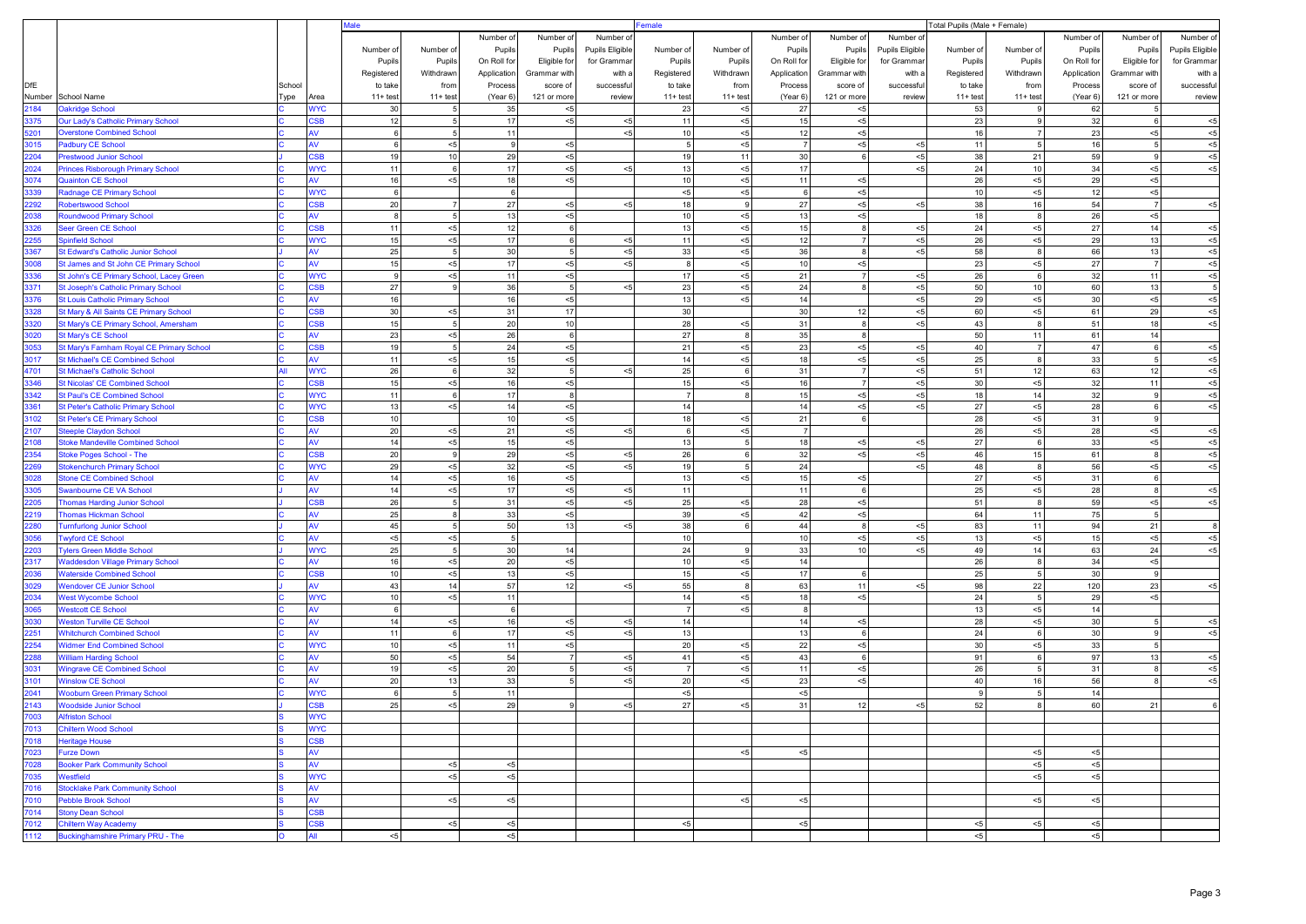|                      |                                                                                     |                |                           | <b>Aale</b>             |                       |                     |                                    | Female               |                        |                      |                      |                         | Total Pupils (Male + Female) |                       |                     |                     |                            |                      |
|----------------------|-------------------------------------------------------------------------------------|----------------|---------------------------|-------------------------|-----------------------|---------------------|------------------------------------|----------------------|------------------------|----------------------|----------------------|-------------------------|------------------------------|-----------------------|---------------------|---------------------|----------------------------|----------------------|
|                      |                                                                                     |                |                           |                         |                       | Number of           | Number of                          | Number of            |                        |                      | Number of            | Number of               | Number o                     |                       |                     | Number of           | Number of                  | Number of            |
|                      |                                                                                     |                |                           | Number of<br>Number of  |                       | Pupils              | Pupils                             | Pupils Eligible      | Number of              | Number of            | Pupils               | Pupils                  | Pupils Eligible              | Number of             | Number of           | Pupils              | Pupils                     | Pupils Eligible      |
|                      |                                                                                     |                |                           | Pupils                  | Pupils                | On Roll for         | Eligible for                       | for Grammar          | Pupils                 | Pupils               | On Roll for          | Eligible for            | for Gramma                   | Pupils                | Pupils              | On Roll for         | Eligible for               | for Grammar          |
|                      |                                                                                     |                |                           | Registered<br>Withdrawn |                       | Application         | Grammar with                       | with a               | Registered             | Withdrawn            | Application          | Grammar with            | with a                       | Registered            | Withdrawn           | Application         | Grammar with               | with a               |
| <b>DfE</b><br>Number | School Name                                                                         | School<br>Type | Area                      | to take<br>$11 + test$  | from<br>$11 + test$   | Process<br>(Year 6) | score of<br>121 or more            | successful<br>review | to take<br>$11 + test$ | from<br>$11 + test$  | Process<br>(Year 6)  | score of<br>121 or more | successful<br>review         | to take<br>$11+ test$ | from<br>$11 + test$ | Process<br>(Year 6) | score of<br>121 or more    | successful<br>review |
| 2184                 | <b>Dakridge School</b>                                                              |                | <b>WYC</b>                | 30                      | 5                     | 35                  | $< 5$                              |                      | 23                     | $< 5$                | 27                   | $< 5$                   |                              | 53                    | <sub>9</sub>        | 62                  |                            |                      |
| 3375                 | Our Lady's Catholic Primary School                                                  |                | SSB                       | 12                      | 5 <sub>1</sub>        | 17                  | < 5                                | < 5                  | 11                     | $< 5$                | 15                   | < 5                     |                              | 23                    | 9                   | 32                  | 6                          | < 5                  |
| 5201                 | <b>Overstone Combined School</b>                                                    |                |                           | 6                       | 5 <sub>5</sub>        | 11                  |                                    | $5$                  | $10$                   | $<\!\!5$             | 12                   | < 5                     |                              | 16                    |                     | 23                  | < 5                        | $< 5$                |
| 3015                 | <b>Padbury CE School</b>                                                            |                | AV                        | 6                       | < 5                   | 9                   | < 5                                |                      | 5                      | $< 5$                | 7 <sup>1</sup>       | < 5                     | $< 5$                        | 11                    | 5                   | 16                  | 5 <sub>1</sub>             | $< 5$                |
| 2204                 | <b>Prestwood Junior School</b>                                                      |                | $\overline{\text{S}}$     | 19                      | 10                    | 29                  | $<\!\!5$                           |                      | 19                     | 11                   | 30 <sup>1</sup>      | 6                       | $< 5$                        | 38                    | 21                  | 59                  | 9                          | $<$ 5                |
| 2024                 | <b>Princes Risborough Primary School</b>                                            |                | <b>WYC</b>                | 11                      | 6                     | 17                  | $<\!\!5$                           | $< 5$                | 13                     | $< 5$                | 17                   |                         | $5$                          | 24                    | 10                  | 34                  | $< 5$                      | $< 5$                |
| 3074                 | <b>Quainton CE School</b>                                                           |                | ۹V                        | 16                      | < 5                   | 18                  | $< 5$                              |                      | 10                     | $< 5$                | 11                   | < 5                     |                              | 26                    | $<\!\!5$            | 29                  | $< 5$                      |                      |
| 3339                 | <b>Radnage CE Primary School</b>                                                    |                | <b>WYC</b>                | -6                      |                       | $6\overline{6}$     |                                    |                      | $<\!\!5$               | $< 5$                | 6                    | $<\!\!5$                |                              | 10                    | $< 5$               | 12                  | $<$ 5                      |                      |
| 2292                 | <b>Robertswood School</b>                                                           |                | S <sub>SB</sub>           | 20                      | 7 <sup>1</sup>        | 27                  | $<\!\!5$                           | < 5                  | 18                     | -9                   | 27                   | < 5                     | $< 5$                        | 38                    | 16                  | 54                  | $7 \overline{ }$           | < 5                  |
| 2038<br>3326         | <b>Roundwood Primary School</b>                                                     |                | AV<br>S <sub>SB</sub>     | 11                      | 5 <sub>5</sub><br>< 5 | 13<br>12            | $<\!\!5$                           |                      | 10<br>13               | $<\!\!5$             | 13<br>15             | ${<}5$                  |                              | 18<br>24              | 8<br>$<\!\!5$       | 26                  | < 5<br>14                  |                      |
| 2255                 | Seer Green CE School<br>Spinfield School                                            |                | <b>WYC</b>                | 15                      | < 5                   | 17                  | $6\phantom{.}6$<br>$6\phantom{.}6$ | $< 5$                | 11                     | $< 5$<br>$<\!\!5$    | 12                   | 8<br>$7\overline{ }$    | $< 5$<br>$< 5$               | 26                    | $<\!\!5$            | 27<br>29            | 13                         | $<\!\!5$<br>$< 5$    |
| 3367                 | St Edward's Catholic Junior School                                                  |                | AV                        | 25                      | 5 <sub>5</sub>        | 30                  | 5 <sub>5</sub>                     | $< 5$                | 33                     | $<\!\!5$             | 36                   | 8                       | $5$                          | 58                    | $\mathbf{8}$        | 66                  | 13                         | $< 5\,$              |
| 8008                 | St James and St John CE Primary School                                              |                | AV                        | 15                      | < 5                   | 17                  | $<\!\!5$                           | $< 5$                | 8                      | $<\!\!5$             | 10 <sup>1</sup>      | $5$                     |                              | 23                    | $< 5$               | 27                  | $\overline{7}$             | ${<}5$               |
| 3336                 | St John's CE Primary School, Lacey Green                                            |                | <b>WYC</b>                | $\mathbf{Q}$            | $<\!\!5$              | 11                  | $<\!\!5$                           |                      | 17                     | $< 5$                | 21                   | $\overline{7}$          | $5$                          | 26                    | 6                   | 32                  | 11                         | $< 5\,$              |
| 3371                 | St Joseph's Catholic Primary School                                                 |                | SSB                       | 27                      | 9                     | 36                  | 5 <sub>5</sub>                     | $< 5$                | 23                     | $< 5$                | 24                   | 8                       | $< 5$                        | 50                    | 10 <sup>1</sup>     | 60                  | 13                         | $\sqrt{5}$           |
| 3376                 | <b>St Louis Catholic Primary School</b>                                             |                | ۹V                        | 16                      |                       | 16                  | $<\!\!5$                           |                      | 13                     | $5$                  | 14                   |                         | $< 5$                        | 29                    | $<\!\!5$            | 30                  | $5$                        | $< 5$                |
| 3328                 | St Mary & All Saints CE Primary School                                              |                | SSB                       | 30                      | < 5                   | 31                  | 17                                 |                      | 30                     |                      | 30 <sup>1</sup>      | 12                      | $5$                          | 60                    | $< 5$               | 61                  | 29                         | $< 5$                |
| 3320                 | St Mary's CE Primary School, Amersham                                               |                | <b>SB</b>                 | 15                      | 5 <sub>1</sub>        | 20                  | 10 <sup>1</sup>                    |                      | 28                     | $< 5$                | 31                   | 8                       | $5$                          | 43                    | 8                   | 51                  | 18                         | < 5                  |
| 3020                 | St Mary's CE School                                                                 |                | AV                        | 23                      | < 5                   | 26                  | $6 \overline{6}$                   |                      | 27                     | 8                    | 35                   | 8                       |                              | 50                    | 11                  | 61                  | 14                         |                      |
| 3053<br>3017         | St Mary's Farnham Royal CE Primary School<br><b>St Michael's CE Combined School</b> |                | SSB<br>AV                 | 19<br>11                | 5 <sub>5</sub><br>< 5 | 24<br>15            | $< 5$<br>$< 5$                     |                      | 21<br>14               | $<\!\!5$<br>$<\!\!5$ | 23<br>18             | $5$<br>< 5              | $< 5$<br>$5$                 | 40<br>25              | $\overline{7}$<br>8 | 47<br>33            | $6 \mid$<br>5 <sub>1</sub> | $<\!\!5$<br>$< 5\,$  |
| 4701                 | <b>St Michael's Catholic School</b>                                                 |                | <b>WYC</b>                | 26                      | 6                     | 32                  | 5 <sub>5</sub>                     | $< 5$                | 25                     | 6                    | 31                   | 7                       | $5$                          | 51                    | 12                  | 63                  | 12                         | $< 5$                |
| 3346                 | <b>St Nicolas' CE Combined School</b>                                               |                | <b>SB</b>                 | 15                      | < 5                   | 16                  | $< 5$                              |                      | 15                     | $< 5$                | 16                   | 7                       | $5$                          | 30                    | $< 5$               | 32                  | 11                         | $< 5$                |
| 3342                 | <b>St Paul's CE Combined School</b>                                                 |                | <b>WYC</b>                | 11                      | 6                     | 17                  | 8                                  |                      | $\overline{7}$         |                      | 15                   | < 5                     | $< 5$                        | 18                    | 14                  | 32                  | 9                          | $< 5$                |
| 3361                 | St Peter's Catholic Primary School                                                  |                | <b>WYC</b>                | 13                      | < 5                   | 14                  | < 5                                |                      | 14                     |                      | 14                   | $< 5$                   | $5$                          | 27                    | $< 5$               | 28                  | 6                          | < 5                  |
| 3102                 | <b>St Peter's CE Primary School</b>                                                 |                | SSB                       | 10                      |                       | 10                  | < 5                                |                      | 18                     | $< 5$                | 21                   | 6                       |                              | 28                    | $< 5$               | 31                  | -9                         |                      |
| 2107                 | Steeple Claydon School                                                              |                |                           | 20                      | < 5                   | 21                  | $< 5$                              | $< 5$                | - 6                    | $< 5$                | $\overline{7}$       |                         |                              | 26                    | $< 5\,$             | 28                  | $< 5$                      | $< 5$                |
| 2108                 | <b>Stoke Mandeville Combined School</b>                                             |                | AV                        | 14                      | < 5                   | 15                  | $< 5$                              |                      | 13                     | $\overline{5}$       | 18                   | < 5                     | $5$                          | 27                    | 6                   | 33                  | < 5                        | $< 5$                |
| 2354                 | <b>Stoke Poges School - The</b>                                                     |                | S <sub>SB</sub>           | 20                      | 9                     | 29                  | $<\!\!5$                           | $5$                  | 26                     |                      | 32                   | $< 5$                   | $5$                          | 46                    | 15                  | 61                  |                            | $< 5\,$              |
| 2269                 | <b>Stokenchurch Primary School</b>                                                  |                | <b>WYC</b>                | 29                      | < 5                   | 32                  | $<\!\!5$                           | $< 5$                | 19                     |                      | 24                   |                         | $5$                          | 48                    | 8                   | 56                  | $<\!\!5$                   | $< 5$                |
| 3028<br>3305         | <b>Stone CE Combined School</b>                                                     |                | ۹V<br>AV                  | 14<br>14                | < 5<br>< 5            | 16<br>17            | $<\!\!5$<br>$< 5$                  | $< 5$                | 13<br>11               | $< 5$                | 15<br>11             | < 5<br>6                |                              | 27<br>25              | < 5<br>$< 5$        | 31<br>28            | 6                          | $<\!\!5$             |
| 2205                 | <b>Swanbourne CE VA School</b><br><b>Thomas Harding Junior School</b>               |                | $\overline{\mathsf{S}}$ B | 26                      | 5 <sub>1</sub>        | 31                  | < 5                                | $5$                  | 25                     | $< 5$                | 28                   | < 5                     |                              | 51                    | 8                   | 59                  | < 5                        | < 5                  |
| 2219                 | <b>Thomas Hickman School</b>                                                        |                | ۹V                        | 25                      | 8 <sup>1</sup>        | 33                  | $<\!\!5$                           |                      | 39                     | $< 5$                | 42                   | < 5                     |                              | 64                    | 11                  | 75                  |                            |                      |
| 2280                 | <b>Turnfurlong Junior School</b>                                                    |                | AV                        | 45                      | 5 <sub>1</sub>        | 50                  | 13                                 | $5$                  | 38                     |                      | 44                   | 8                       | $< 5$                        | 83                    | 11                  | 94                  | 21                         | 8                    |
| 3056                 | <b>Twyford CE School</b>                                                            |                | ۹V                        | $<\!\!5$                | < 5                   | 5 <sub>5</sub>      |                                    |                      | 10                     |                      | 10 <sup>1</sup>      | $<\!\!5$                | $<\!\!5$                     | 13                    | $<\!\!5$            | 15                  | ${<}5\,$                   | $<\!\!5$             |
| 2203                 | <b>Tylers Green Middle School</b>                                                   |                | <b>WYC</b>                | 25                      | 5 <sub>5</sub>        | 30                  | 14                                 |                      | 24                     | <b>q</b>             | 33                   | 10                      | $5$                          | 49                    | 14                  | 63                  | 24                         | $< 5$                |
| 2317                 | <b>Waddesdon Village Primary School</b>                                             |                |                           | 16                      | < 5                   | 20                  | $<\!\!5$                           |                      | 10                     | $<\!\!5$             | 14                   |                         |                              | 26                    | 8                   | 34                  | ${<}5\,$                   |                      |
| 2036                 | <b>Waterside Combined School</b>                                                    |                | <b>SB</b>                 | 10                      | < 5                   | 13                  | $< 5$                              |                      | 15                     | $< 5$                | 17                   | 6                       |                              | 25                    | $\overline{5}$      | 30                  | 9                          |                      |
| 3029                 | <b>Wendover CE Junior School</b>                                                    |                | ۹V                        | 43                      | 14                    | 57                  | 12                                 | $< 5$                | 55                     | 8                    | 63                   | 11                      | $< 5$                        | 98                    | 22                  | 120                 | 23                         | < 5                  |
| 2034                 | <b>West Wycombe School</b>                                                          |                | <b>WYC</b>                | 10                      | < 5                   | 11                  |                                    |                      | 14                     | $< 5$                | 18                   | < 5                     |                              | 24                    | 5                   | 29                  | $< 5$                      |                      |
| 3065<br>3030         | <b>Westcott CE School</b>                                                           |                | AV<br>۹V                  | 6<br>14                 | < 5                   | 6<br>16             | < 5                                | $< 5$                | $\overline{7}$<br>14   | $< 5$                | 8 <sup>1</sup><br>14 |                         |                              | 13<br>28              | < 5<br>$< 5$        | 14<br>30            |                            | $< 5$                |
| 2251                 | <b>Weston Turville CE School</b><br><b>Whitchurch Combined School</b>               |                | AV                        | 11                      | 6                     | 17                  | < 5                                | $5$                  | 13                     |                      | 13                   | $<$ 5<br>6              |                              | 24                    | 6                   | 30                  | 5 <sub>1</sub><br>9        | $< 5$                |
| 2254                 | <b>Widmer End Combined School</b>                                                   |                | <b>WYC</b>                | 10                      | < 5                   | 11                  | $< 5$                              |                      | 20                     | $< 5$                | 22                   | < 5                     |                              | 30 <sup>1</sup>       | $<\!\!5$            | 33                  | 5 <sub>1</sub>             |                      |
| 2288                 | <b>William Harding School</b>                                                       |                | AV                        | 50                      | < 5                   | 54                  | $\overline{7}$                     | $<\!\!5$             | 41                     | $< 5$                | 43                   | 6                       |                              | 91                    | 6                   | 97                  | 13                         | $< 5\,$              |
| 3031                 | <b>Wingrave CE Combined School</b>                                                  |                | AV                        | 19                      | < 5                   | 20                  | 5 <sub>5</sub>                     | $< 5$                | $\overline{7}$         | $< 5$                | 11                   | $< 5$                   |                              | 26                    | $\overline{5}$      | 31                  | 8                          | $< 5\,$              |
| 3101                 | <b>Winslow CE School</b>                                                            |                | AV                        | 20                      | 13                    | 33                  | 5                                  | $< 5$                | 20                     | $< 5$                | 23                   | $5$                     |                              | 40                    | 16                  | 56                  |                            | $< 5\,$              |
| 2041                 | <b>Wooburn Green Primary School</b>                                                 |                | <b>WYC</b>                | 6                       | 5 <sup>1</sup>        | 11                  |                                    |                      | $5$                    |                      | < 5                  |                         |                              | 9                     | $\overline{5}$      | 14                  |                            |                      |
| 2143                 | <b>Woodside Junior School</b>                                                       |                | <b>SB</b>                 | 25                      | < 5                   | 29                  | 9                                  | $< 5$                | 27                     | $< 5$                | 31                   | 12                      | $5$                          | 52                    | 8                   | 60                  | 21                         | $\,6\,$              |
| 7003                 | <b>Alfriston School</b>                                                             |                | <b>WYC</b>                |                         |                       |                     |                                    |                      |                        |                      |                      |                         |                              |                       |                     |                     |                            |                      |
| 7013                 | <b>Chiltern Wood School</b>                                                         |                | <b>WYC</b>                |                         |                       |                     |                                    |                      |                        |                      |                      |                         |                              |                       |                     |                     |                            |                      |
| 7018<br>7023         | <b>Heritage House</b>                                                               |                | <b>CSB</b><br>AV          |                         |                       |                     |                                    |                      |                        | $< 5$                | < 5                  |                         |                              |                       |                     |                     |                            |                      |
| 7028                 | <b>Furze Down</b><br><b>Booker Park Community School</b>                            |                | AV                        |                         | $<\!\!5$              | ${<}5$              |                                    |                      |                        |                      |                      |                         |                              |                       | $< 5$<br>$<\!\!5$   | $<\!\!5$<br>$< 5$   |                            |                      |
| 7035                 | Westfield                                                                           |                | <b>WYC</b>                |                         | < 5                   | < 5                 |                                    |                      |                        |                      |                      |                         |                              |                       | < 5                 | $< 5$               |                            |                      |
| 7016                 | <b>Stocklake Park Community School</b>                                              |                | AV                        |                         |                       |                     |                                    |                      |                        |                      |                      |                         |                              |                       |                     |                     |                            |                      |
| 7010                 | <b>Pebble Brook School</b>                                                          |                | AV                        |                         | < 5                   | < 5                 |                                    |                      |                        | $< 5$                | < 5                  |                         |                              |                       | < 5                 | < 5                 |                            |                      |
| 7014                 | <b>Stony Dean School</b>                                                            |                | SSB                       |                         |                       |                     |                                    |                      |                        |                      |                      |                         |                              |                       |                     |                     |                            |                      |
| 7012                 | <b>Chiltern Way Academy</b>                                                         |                | S <sub>SB</sub>           |                         | < 5                   | $< 5$               |                                    |                      | $< 5$                  |                      | $< 5$                |                         |                              | $<$ 5                 | < 5                 | < 5                 |                            |                      |
|                      | 1112 Buckinghamshire Primary PRU - The                                              |                | All                       | < 5                     |                       | $5$                 |                                    |                      |                        |                      |                      |                         |                              | $< 5$                 |                     | $< 5$               |                            |                      |